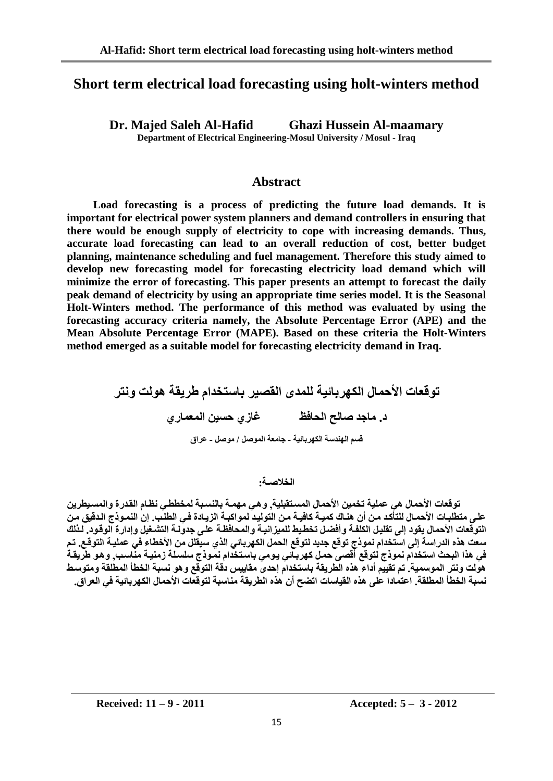# **Short term electrical load forecasting using holt-winters method**

**Dr. Majed Saleh Al-Hafid Ghazi Hussein Al-maamary Department of Electrical Engineering-Mosul University / Mosul - Iraq**

**Abstract**

**Load forecasting is a process of predicting the future load demands. It is important for electrical power system planners and demand controllers in ensuring that there would be enough supply of electricity to cope with increasing demands. Thus, accurate load forecasting can lead to an overall reduction of cost, better budget planning, maintenance scheduling and fuel management. Therefore this study aimed to develop new forecasting model for forecasting electricity load demand which will minimize the error of forecasting. This paper presents an attempt to forecast the daily peak demand of electricity by using an appropriate time series model. It is the Seasonal Holt-Winters method. The performance of this method was evaluated by using the forecasting accuracy criteria namely, the Absolute Percentage Error (APE) and the Mean Absolute Percentage Error (MAPE). Based on these criteria the Holt-Winters method emerged as a suitable model for forecasting electricity demand in Iraq.**

> **توقعات الأحمال الكهربائية للمدى القصير باستخدام طريقة هولت ونتر** د. ماجد صالح الحافظ غازي حسين المعماري **قسى انهُذسة انكهشبائُة - جايعة انًىصم / يىصم - عشاق**

> > **انخالصـة:**

توقعات الأحمال هي عملية تخمين الأحمال المستقبلية. وهي مهمـة بالنسبـة لمخططي نظـام القدر ةوالمسبطرين على متطلبات الأحمـال للتأكد مـن أن هنـاك كميـة كافيـة مـن التوليد لمواكبـة الزيـادة فـي الطلب. إن النمـوذج الدقيق مـن التوقعات الأحمال يقود إلى تقليل الكلفـة وأفضـل تخطـيط للميزانيـة والمحافظـة علـ*ى* جدولـة التشـغيل وإدارـة الوقـود. لـذلك سعت هذِه الدراسة إلى استخدام نموذج توقع جديد لتوقع الحمل الكهربائي الذي سبقلل من الأخطاء في عمليـة التوقـع. تـم في هذا البحث استخدام نموذج لتوقع أقصى حمل كهربـاّئي يومي باستخدام نمـوذج سلسـلـة زمنيـة منّـاسـب, وهو طريقـةُ هولت ونتر الموسمية. تم تقييم أداء هذه الطريقة باستخدام إحدى مقاييس دقة التوقع وهو نسبة الخطأ المطلقة ومتوسط نسبة الخطأ المطلقة. اعتمادا على هذه القياسات اتضح أن هذه الطريقة مناسبة لتوقعات الأحمال الكهربائية في العراق.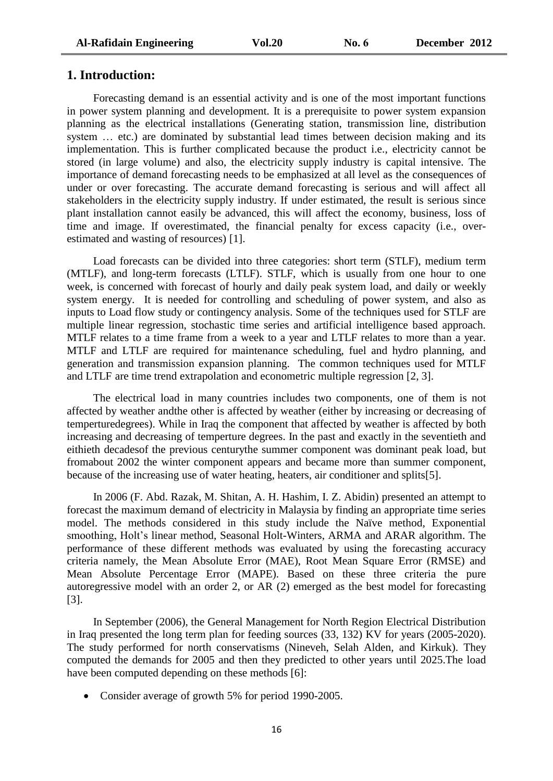### **1. Introduction:**

Forecasting demand is an essential activity and is one of the most important functions in power system planning and development. It is a prerequisite to power system expansion planning as the electrical installations (Generating station, transmission line, distribution system … etc.) are dominated by substantial lead times between decision making and its implementation. This is further complicated because the product i.e., electricity cannot be stored (in large volume) and also, the electricity supply industry is capital intensive. The importance of demand forecasting needs to be emphasized at all level as the consequences of under or over forecasting. The accurate demand forecasting is serious and will affect all stakeholders in the electricity supply industry. If under estimated, the result is serious since plant installation cannot easily be advanced, this will affect the economy, business, loss of time and image. If overestimated, the financial penalty for excess capacity (i.e., overestimated and wasting of resources) [1].

Load forecasts can be divided into three categories: short term (STLF), medium term (MTLF), and long-term forecasts (LTLF). STLF, which is usually from one hour to one week, is concerned with forecast of hourly and daily peak system load, and daily or weekly system energy. It is needed for controlling and scheduling of power system, and also as inputs to Load flow study or contingency analysis. Some of the techniques used for STLF are multiple linear regression, stochastic time series and artificial intelligence based approach. MTLF relates to a time frame from a week to a year and LTLF relates to more than a year. MTLF and LTLF are required for maintenance scheduling, fuel and hydro planning, and generation and transmission expansion planning. The common techniques used for MTLF and LTLF are time trend extrapolation and econometric multiple regression [2, 3].

The electrical load in many countries includes two components, one of them is not affected by weather andthe other is affected by weather (either by increasing or decreasing of temperturedegrees). While in Iraq the component that affected by weather is affected by both increasing and decreasing of temperture degrees. In the past and exactly in the seventieth and eithieth decadesof the previous centurythe summer component was dominant peak load, but fromabout 2002 the winter component appears and became more than summer component, because of the increasing use of water heating, heaters, air conditioner and splits[5].

In 2006 (F. Abd. Razak, M. Shitan, A. H. Hashim, I. Z. Abidin) presented an attempt to forecast the maximum demand of electricity in Malaysia by finding an appropriate time series model. The methods considered in this study include the Naïve method, Exponential smoothing, Holt's linear method, Seasonal Holt-Winters, ARMA and ARAR algorithm. The performance of these different methods was evaluated by using the forecasting accuracy criteria namely, the Mean Absolute Error (MAE), Root Mean Square Error (RMSE) and Mean Absolute Percentage Error (MAPE). Based on these three criteria the pure autoregressive model with an order 2, or AR (2) emerged as the best model for forecasting [3].

In September (2006), the General Management for North Region Electrical Distribution in Iraq presented the long term plan for feeding sources (33, 132) KV for years (2005-2020). The study performed for north conservatisms (Nineveh, Selah Alden, and Kirkuk). They computed the demands for 2005 and then they predicted to other years until 2025.The load have been computed depending on these methods [6]:

• Consider average of growth 5% for period 1990-2005.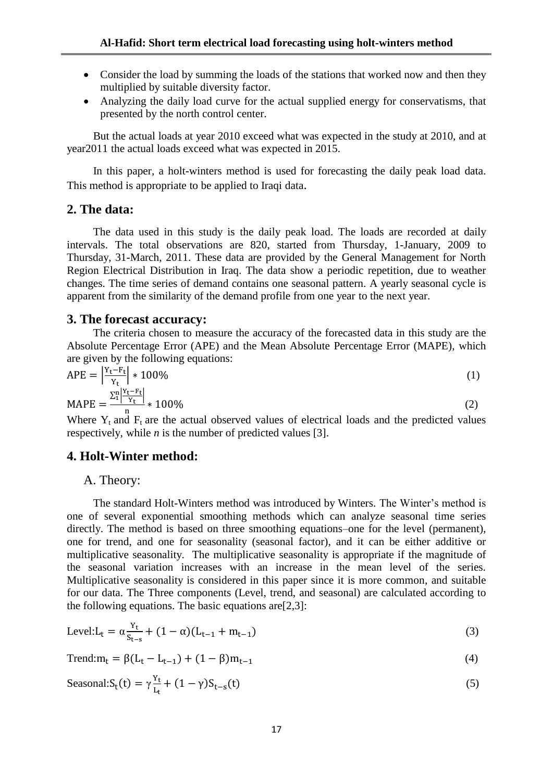- Consider the load by summing the loads of the stations that worked now and then they multiplied by suitable diversity factor.
- Analyzing the daily load curve for the actual supplied energy for conservatisms, that presented by the north control center.

But the actual loads at year 2010 exceed what was expected in the study at 2010, and at year2011 the actual loads exceed what was expected in 2015.

In this paper, a holt-winters method is used for forecasting the daily peak load data. This method is appropriate to be applied to Iraqi data.

# **2. The data:**

The data used in this study is the daily peak load. The loads are recorded at daily intervals. The total observations are 820, started from Thursday, 1-January, 2009 to Thursday, 31-March, 2011. These data are provided by the General Management for North Region Electrical Distribution in Iraq. The data show a periodic repetition, due to weather changes. The time series of demand contains one seasonal pattern. A yearly seasonal cycle is apparent from the similarity of the demand profile from one year to the next year.

## **3. The forecast accuracy:**

The criteria chosen to measure the accuracy of the forecasted data in this study are the Absolute Percentage Error (APE) and the Mean Absolute Percentage Error (MAPE), which are given by the following equations:

$$
APE = \left| \frac{Y_t - F_t}{Y_t} \right| * 100\%
$$
\n
$$
MAPE = \frac{\sum_{i=1}^{n} \left| \frac{Y_t - F_t}{Y_t} \right|}{n} * 100\%
$$
\n
$$
(2)
$$

Where  $Y_t$  and  $F_t$  are the actual observed values of electrical loads and the predicted values respectively, while *n* is the number of predicted values [3].

### **4. Holt-Winter method:**

### A. Theory:

The standard Holt-Winters method was introduced by Winters. The Winter's method is one of several exponential smoothing methods which can analyze seasonal time series directly. The method is based on three smoothing equations–one for the level (permanent), one for trend, and one for seasonality (seasonal factor), and it can be either additive or multiplicative seasonality. The multiplicative seasonality is appropriate if the magnitude of the seasonal variation increases with an increase in the mean level of the series. Multiplicative seasonality is considered in this paper since it is more common, and suitable for our data. The Three components (Level, trend, and seasonal) are calculated according to the following equations. The basic equations are  $[2,3]$ :

Level: 
$$
L_t = \alpha \frac{Y_t}{S_{t-s}} + (1 - \alpha)(L_{t-1} + m_{t-1})
$$
 (3)

$$
Trend:m_t = \beta(L_t - L_{t-1}) + (1 - \beta)m_{t-1}
$$
\n(4)

$$
Seasonal: S_t(t) = \gamma \frac{Y_t}{L_t} + (1 - \gamma) S_{t-s}(t)
$$
\n<sup>(5)</sup>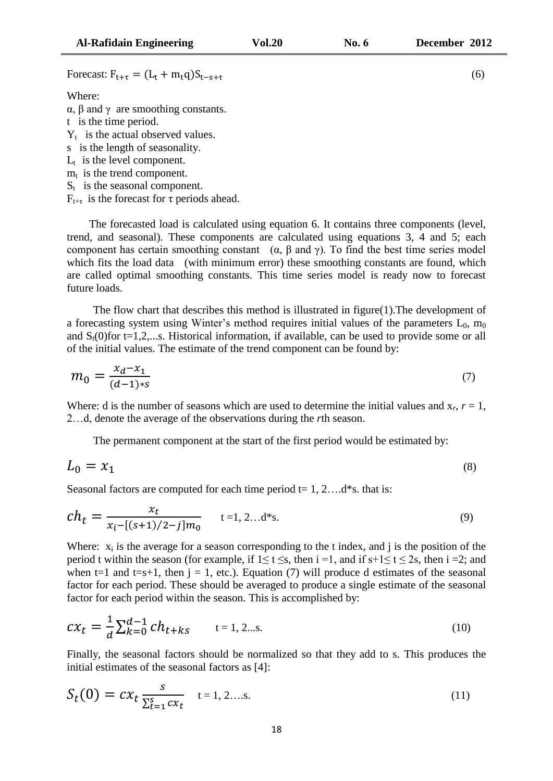Forecast:  $F_{t+\tau} = (L_t + m_t q)S_{t-s+\tau}$ 

Where:

α, β and γ are smoothing constants.

t is the time period.

 $Y_t$  is the actual observed values.

- s is the length of seasonality.
- $L_t$  is the level component.
- $m_t$  is the trend component.
- $S_t$  is the seasonal component.
- $F_{t+\tau}$  is the forecast for  $\tau$  periods ahead.

 The forecasted load is calculated using equation 6. It contains three components (level, trend, and seasonal). These components are calculated using equations 3, 4 and 5; each component has certain smoothing constant ( $α$ ,  $β$  and  $γ$ ). To find the best time series model which fits the load data (with minimum error) these smoothing constants are found, which are called optimal smoothing constants. This time series model is ready now to forecast future loads.

The flow chart that describes this method is illustrated in figure(1).The development of a forecasting system using Winter's method requires initial values of the parameters  $L_0$ ,  $m_0$ and  $S_t(0)$  for t=1,2,...s. Historical information, if available, can be used to provide some or all of the initial values. The estimate of the trend component can be found by:

$$
m_0 = \frac{x_d - x_1}{(d - 1)s} \tag{7}
$$

Where: d is the number of seasons which are used to determine the initial values and  $x_r$ ,  $r = 1$ , 2…d, denote the average of the observations during the *r*th season.

The permanent component at the start of the first period would be estimated by:

$$
L_0 = x_1 \tag{8}
$$

Seasonal factors are computed for each time period  $t = 1, 2, \dots$  d<sup>\*</sup>s. that is:

$$
ch_t = \frac{x_t}{x_i - [(s+1)/2 - j]m_0} \qquad t = 1, 2...d^*s. \tag{9}
$$

Where:  $x_i$  is the average for a season corresponding to the t index, and j is the position of the period t within the season (for example, if  $1 \le t \le s$ , then  $i = 1$ , and if  $s+1 \le t \le 2s$ , then  $i = 2$ ; and when t=1 and t=s+1, then  $j = 1$ , etc.). Equation (7) will produce d estimates of the seasonal factor for each period. These should be averaged to produce a single estimate of the seasonal factor for each period within the season. This is accomplished by:

$$
c x_t = \frac{1}{d} \sum_{k=0}^{d-1} c h_{t+ks} \qquad t = 1, 2...s. \tag{10}
$$

Finally, the seasonal factors should be normalized so that they add to s. This produces the initial estimates of the seasonal factors as [4]:

$$
S_t(0) = cx_t \frac{s}{\sum_{t=1}^{S} cx_t} \quad t = 1, 2, \dots s. \tag{11}
$$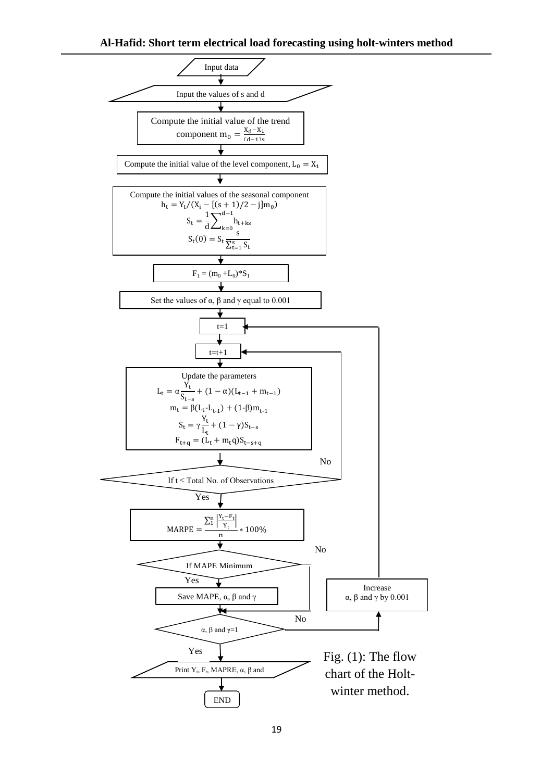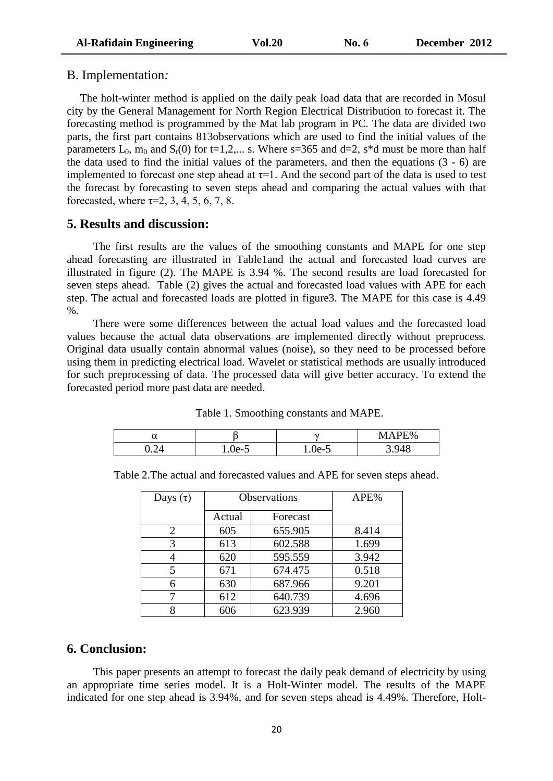### B. Implementation*:*

The holt-winter method is applied on the daily peak load data that are recorded in Mosul city by the General Management for North Region Electrical Distribution to forecast it. The forecasting method is programmed by the Mat lab program in PC. The data are divided two parts, the first part contains 813observations which are used to find the initial values of the parameters  $L_0$ ,  $m_0$  and  $S_t(0)$  for t=1,2,... s. Where s=365 and d=2, s<sup>\*</sup>d must be more than half the data used to find the initial values of the parameters, and then the equations (3 - 6) are implemented to forecast one step ahead at  $\tau$ =1. And the second part of the data is used to test the forecast by forecasting to seven steps ahead and comparing the actual values with that forecasted, where  $\tau=2$ , 3, 4, 5, 6, 7, 8.

## **5. Results and discussion:**

The first results are the values of the smoothing constants and MAPE for one step ahead forecasting are illustrated in Table1and the actual and forecasted load curves are illustrated in figure (2). The MAPE is 3.94 %. The second results are load forecasted for seven steps ahead. Table (2) gives the actual and forecasted load values with APE for each step. The actual and forecasted loads are plotted in figure3. The MAPE for this case is 4.49  $\%$ .

There were some differences between the actual load values and the forecasted load values because the actual data observations are implemented directly without preprocess. Original data usually contain abnormal values (noise), so they need to be processed before using them in predicting electrical load. Wavelet or statistical methods are usually introduced for such preprocessing of data. The processed data will give better accuracy. To extend the forecasted period more past data are needed.

| Ő.<br>u |                 | $\sim$ | <b>E%</b><br>MА<br>1711 <b>11</b> |
|---------|-----------------|--------|-----------------------------------|
| ◡ ∙ ↩   | $^{\prime}$ Ie_ | ue-d   | $\mathcal{A}$<br>. .              |

Table 1. Smoothing constants and MAPE.

|               | Table 2. The actual and forecasted values and APE for seven steps ahead. |         |  |
|---------------|--------------------------------------------------------------------------|---------|--|
| Davs $(\tau)$ | <b>Observations</b>                                                      | $APE\%$ |  |

| Days $(\tau)$ | <b>Observations</b> |          | APE%  |
|---------------|---------------------|----------|-------|
|               | Actual              | Forecast |       |
| 2             | 605                 | 655.905  | 8.414 |
| 3             | 613                 | 602.588  | 1.699 |
|               | 620                 | 595.559  | 3.942 |
| 5             | 671                 | 674.475  | 0.518 |
|               | 630                 | 687.966  | 9.201 |
| ⇁             | 612                 | 640.739  | 4.696 |
| O             | 606                 | 623.939  | 2.960 |

# **6. Conclusion:**

This paper presents an attempt to forecast the daily peak demand of electricity by using an appropriate time series model. It is a Holt-Winter model. The results of the MAPE indicated for one step ahead is 3.94%, and for seven steps ahead is 4.49%. Therefore, Holt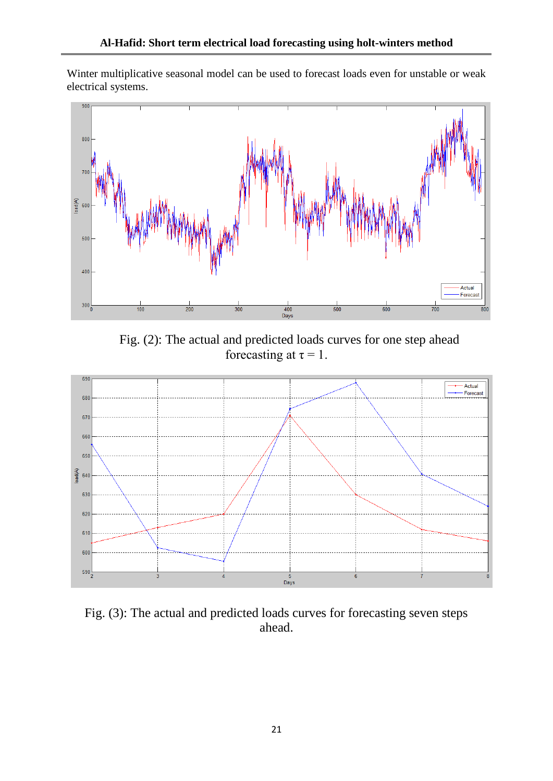Winter multiplicative seasonal model can be used to forecast loads even for unstable or weak electrical systems.



Fig. (2): The actual and predicted loads curves for one step ahead forecasting at  $\tau = 1$ .



Fig. (3): The actual and predicted loads curves for forecasting seven steps ahead.